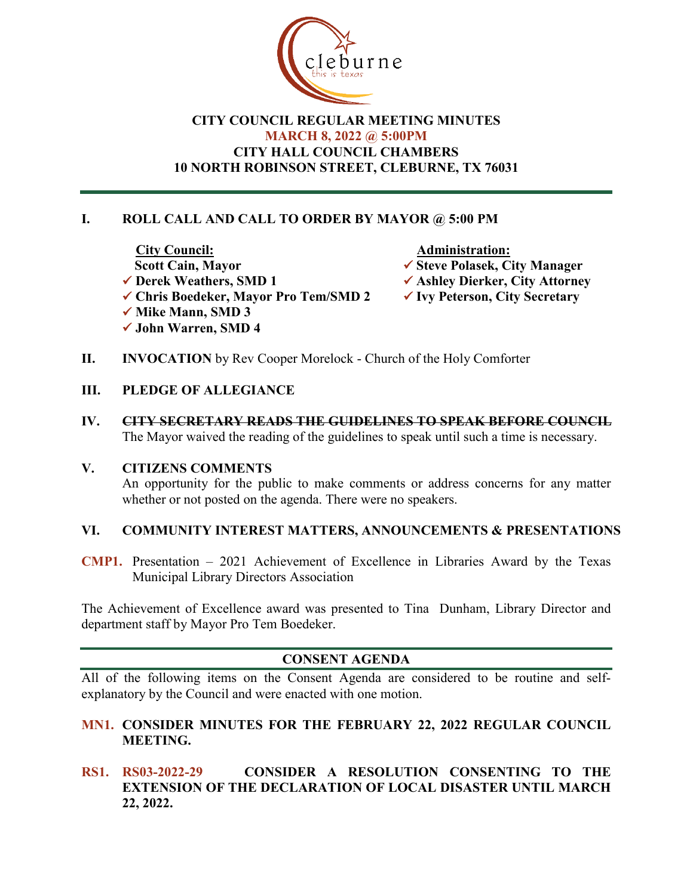

## **CITY COUNCIL REGULAR MEETING MINUTES MARCH 8, 2022 @ 5:00PM CITY HALL COUNCIL CHAMBERS 10 NORTH ROBINSON STREET, CLEBURNE, TX 76031**

# **I. ROLL CALL AND CALL TO ORDER BY MAYOR @ 5:00 PM**

<u>City Council:</u><br>
Scott Cain, Mayor → Administration:<br>
→ Steve Polasek, Ci **Scott Cain, Mayor**<br>
★ Steve Polasek, City Manager<br>
★ Ashley Dierker, City Attorner **✓ Chris Boedeker, Mayor Pro Tem/SMD 2 √ Mike Mann, SMD 3 John Warren, SMD 4**

- 
- **V** Ashley Dierker, City Attorney<br>**V** Ivy Peterson, City Secretary
- 
- **II. INVOCATION** by Rev Cooper Morelock Church of the Holy Comforter

#### **III. PLEDGE OF ALLEGIANCE**

**IV. CITY SECRETARY READS THE GUIDELINES TO SPEAK BEFORE COUNCIL** The Mayor waived the reading of the guidelines to speak until such a time is necessary.

#### **V. CITIZENS COMMENTS**

An opportunity for the public to make comments or address concerns for any matter whether or not posted on the agenda. There were no speakers.

#### **VI. COMMUNITY INTEREST MATTERS, ANNOUNCEMENTS & PRESENTATIONS**

**CMP1.** Presentation – 2021 Achievement of Excellence in Libraries Award by the Texas Municipal Library Directors Association

The Achievement of Excellence award was presented to Tina Dunham, Library Director and department staff by Mayor Pro Tem Boedeker.

## **CONSENT AGENDA**

All of the following items on the Consent Agenda are considered to be routine and selfexplanatory by the Council and were enacted with one motion.

- **MN1. CONSIDER MINUTES FOR THE FEBRUARY 22, 2022 REGULAR COUNCIL MEETING.**
- **RS1. RS03-2022-29 CONSIDER A RESOLUTION CONSENTING TO THE EXTENSION OF THE DECLARATION OF LOCAL DISASTER UNTIL MARCH 22, 2022.**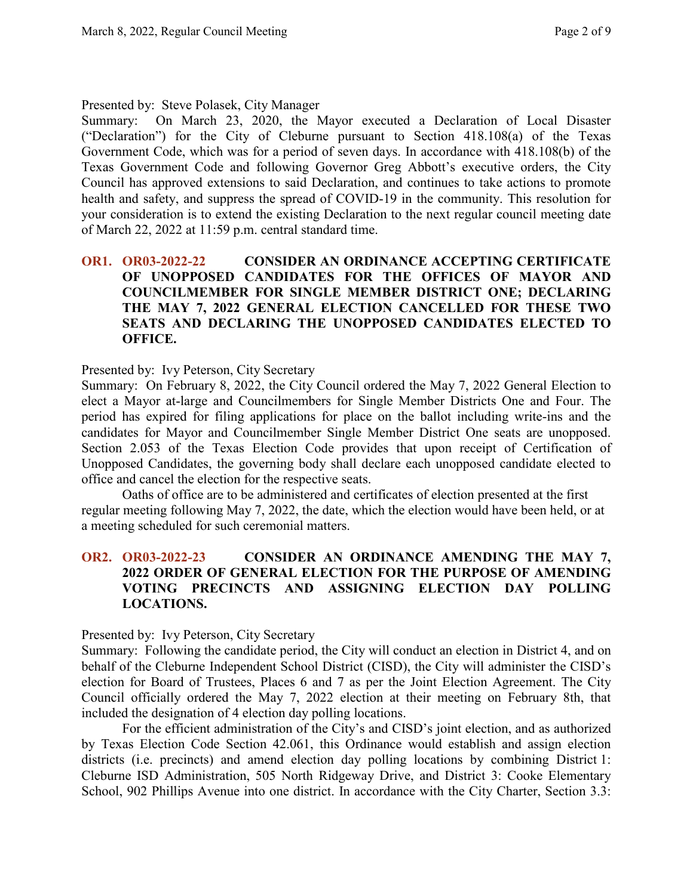#### Presented by: Steve Polasek, City Manager

Summary: On March 23, 2020, the Mayor executed a Declaration of Local Disaster ("Declaration") for the City of Cleburne pursuant to Section 418.108(a) of the Texas Government Code, which was for a period of seven days. In accordance with 418.108(b) of the Texas Government Code and following Governor Greg Abbott's executive orders, the City Council has approved extensions to said Declaration, and continues to take actions to promote health and safety, and suppress the spread of COVID-19 in the community. This resolution for your consideration is to extend the existing Declaration to the next regular council meeting date of March 22, 2022 at 11:59 p.m. central standard time.

## **OR1. OR03-2022-22 CONSIDER AN ORDINANCE ACCEPTING CERTIFICATE OF UNOPPOSED CANDIDATES FOR THE OFFICES OF MAYOR AND COUNCILMEMBER FOR SINGLE MEMBER DISTRICT ONE; DECLARING THE MAY 7, 2022 GENERAL ELECTION CANCELLED FOR THESE TWO SEATS AND DECLARING THE UNOPPOSED CANDIDATES ELECTED TO OFFICE.**

#### Presented by: Ivy Peterson, City Secretary

Summary: On February 8, 2022, the City Council ordered the May 7, 2022 General Election to elect a Mayor at-large and Councilmembers for Single Member Districts One and Four. The period has expired for filing applications for place on the ballot including write-ins and the candidates for Mayor and Councilmember Single Member District One seats are unopposed. Section 2.053 of the Texas Election Code provides that upon receipt of Certification of Unopposed Candidates, the governing body shall declare each unopposed candidate elected to office and cancel the election for the respective seats.

Oaths of office are to be administered and certificates of election presented at the first regular meeting following May 7, 2022, the date, which the election would have been held, or at a meeting scheduled for such ceremonial matters.

#### **OR2. OR03-2022-23 CONSIDER AN ORDINANCE AMENDING THE MAY 7, 2022 ORDER OF GENERAL ELECTION FOR THE PURPOSE OF AMENDING VOTING PRECINCTS AND ASSIGNING ELECTION DAY POLLING LOCATIONS.**

#### Presented by: Ivy Peterson, City Secretary

Summary: Following the candidate period, the City will conduct an election in District 4, and on behalf of the Cleburne Independent School District (CISD), the City will administer the CISD's election for Board of Trustees, Places 6 and 7 as per the Joint Election Agreement. The City Council officially ordered the May 7, 2022 election at their meeting on February 8th, that included the designation of 4 election day polling locations.

For the efficient administration of the City's and CISD's joint election, and as authorized by Texas Election Code Section 42.061, this Ordinance would establish and assign election districts (i.e. precincts) and amend election day polling locations by combining District 1: Cleburne ISD Administration, 505 North Ridgeway Drive, and District 3: Cooke Elementary School, 902 Phillips Avenue into one district. In accordance with the City Charter, Section 3.3: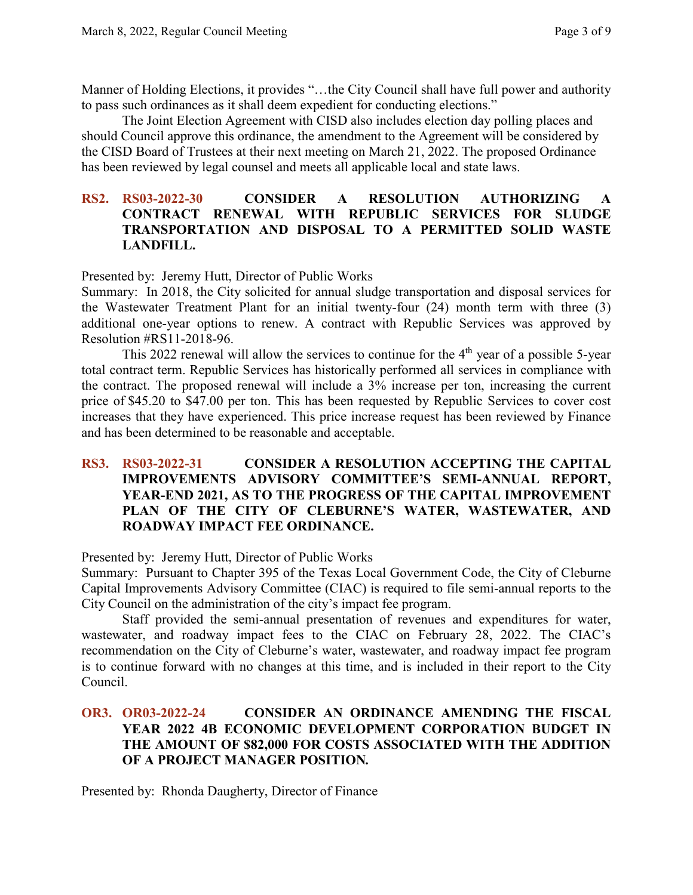Manner of Holding Elections, it provides "…the City Council shall have full power and authority to pass such ordinances as it shall deem expedient for conducting elections."

The Joint Election Agreement with CISD also includes election day polling places and should Council approve this ordinance, the amendment to the Agreement will be considered by the CISD Board of Trustees at their next meeting on March 21, 2022. The proposed Ordinance has been reviewed by legal counsel and meets all applicable local and state laws.

#### **RS2. RS03-2022-30 CONSIDER A RESOLUTION AUTHORIZING A CONTRACT RENEWAL WITH REPUBLIC SERVICES FOR SLUDGE TRANSPORTATION AND DISPOSAL TO A PERMITTED SOLID WASTE LANDFILL.**

Presented by: Jeremy Hutt, Director of Public Works

Summary: In 2018, the City solicited for annual sludge transportation and disposal services for the Wastewater Treatment Plant for an initial twenty-four (24) month term with three (3) additional one-year options to renew. A contract with Republic Services was approved by Resolution #RS11-2018-96.

This 2022 renewal will allow the services to continue for the  $4<sup>th</sup>$  year of a possible 5-year total contract term. Republic Services has historically performed all services in compliance with the contract. The proposed renewal will include a 3% increase per ton, increasing the current price of \$45.20 to \$47.00 per ton. This has been requested by Republic Services to cover cost increases that they have experienced. This price increase request has been reviewed by Finance and has been determined to be reasonable and acceptable.

## **RS3. RS03-2022-31 CONSIDER A RESOLUTION ACCEPTING THE CAPITAL IMPROVEMENTS ADVISORY COMMITTEE'S SEMI-ANNUAL REPORT, YEAR-END 2021, AS TO THE PROGRESS OF THE CAPITAL IMPROVEMENT PLAN OF THE CITY OF CLEBURNE'S WATER, WASTEWATER, AND ROADWAY IMPACT FEE ORDINANCE.**

Presented by: Jeremy Hutt, Director of Public Works

Summary: Pursuant to Chapter 395 of the Texas Local Government Code, the City of Cleburne Capital Improvements Advisory Committee (CIAC) is required to file semi-annual reports to the City Council on the administration of the city's impact fee program.

Staff provided the semi-annual presentation of revenues and expenditures for water, wastewater, and roadway impact fees to the CIAC on February 28, 2022. The CIAC's recommendation on the City of Cleburne's water, wastewater, and roadway impact fee program is to continue forward with no changes at this time, and is included in their report to the City Council.

#### **OR3. OR03-2022-24 CONSIDER AN ORDINANCE AMENDING THE FISCAL YEAR 2022 4B ECONOMIC DEVELOPMENT CORPORATION BUDGET IN THE AMOUNT OF \$82,000 FOR COSTS ASSOCIATED WITH THE ADDITION OF A PROJECT MANAGER POSITION***.*

Presented by: Rhonda Daugherty, Director of Finance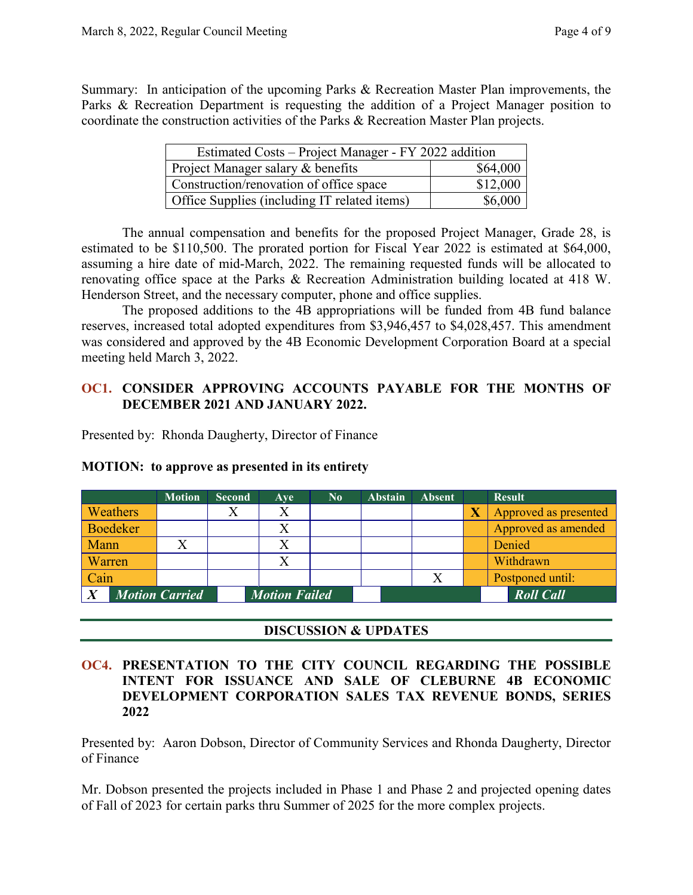Summary: In anticipation of the upcoming Parks & Recreation Master Plan improvements, the Parks & Recreation Department is requesting the addition of a Project Manager position to coordinate the construction activities of the Parks & Recreation Master Plan projects.

| Estimated Costs – Project Manager - FY 2022 addition |          |  |  |  |  |  |  |
|------------------------------------------------------|----------|--|--|--|--|--|--|
| Project Manager salary & benefits                    | \$64,000 |  |  |  |  |  |  |
| Construction/renovation of office space              | \$12,000 |  |  |  |  |  |  |
| Office Supplies (including IT related items)         | \$6,000  |  |  |  |  |  |  |

The annual compensation and benefits for the proposed Project Manager, Grade 28, is estimated to be \$110,500. The prorated portion for Fiscal Year 2022 is estimated at \$64,000, assuming a hire date of mid-March, 2022. The remaining requested funds will be allocated to renovating office space at the Parks & Recreation Administration building located at 418 W. Henderson Street, and the necessary computer, phone and office supplies.

The proposed additions to the 4B appropriations will be funded from 4B fund balance reserves, increased total adopted expenditures from \$3,946,457 to \$4,028,457. This amendment was considered and approved by the 4B Economic Development Corporation Board at a special meeting held March 3, 2022.

#### **OC1. CONSIDER APPROVING ACCOUNTS PAYABLE FOR THE MONTHS OF DECEMBER 2021 AND JANUARY 2022.**

Presented by: Rhonda Daugherty, Director of Finance

|                 | <b>Motion</b>         | <b>Second</b> | <b>Ave</b>           | $\mathbf{N}\mathbf{0}$ | <b>Abstain</b> | <b>Absent</b> |                         | <b>Result</b>         |
|-----------------|-----------------------|---------------|----------------------|------------------------|----------------|---------------|-------------------------|-----------------------|
| Weathers        |                       |               | Χ                    |                        |                |               | $\overline{\textbf{X}}$ | Approved as presented |
| <b>Boedeker</b> |                       |               | $\rm\overline{X}$    |                        |                |               |                         | Approved as amended   |
| Mann            |                       |               |                      |                        |                |               |                         | Denied                |
| Warren          |                       |               | X                    |                        |                |               |                         | Withdrawn             |
| Cain            |                       |               |                      |                        |                | $\rm X$       |                         | Postponed until:      |
|                 | <b>Motion Carried</b> |               | <b>Motion Failed</b> |                        |                |               |                         | <b>Roll Call</b>      |

#### **MOTION: to approve as presented in its entirety**

#### **DISCUSSION & UPDATES**

#### **OC4. PRESENTATION TO THE CITY COUNCIL REGARDING THE POSSIBLE INTENT FOR ISSUANCE AND SALE OF CLEBURNE 4B ECONOMIC DEVELOPMENT CORPORATION SALES TAX REVENUE BONDS, SERIES 2022**

Presented by: Aaron Dobson, Director of Community Services and Rhonda Daugherty, Director of Finance

Mr. Dobson presented the projects included in Phase 1 and Phase 2 and projected opening dates of Fall of 2023 for certain parks thru Summer of 2025 for the more complex projects.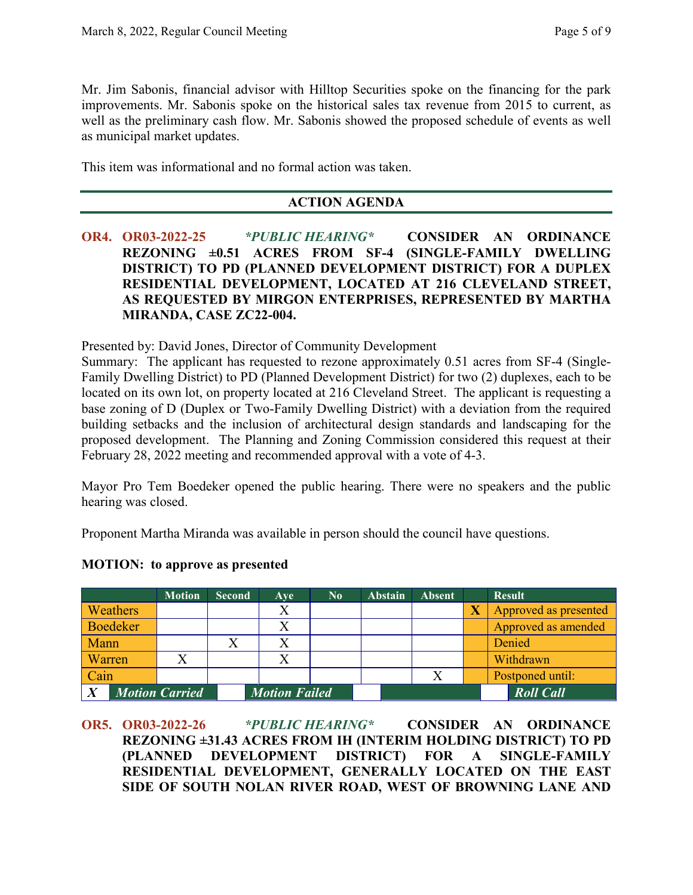Mr. Jim Sabonis, financial advisor with Hilltop Securities spoke on the financing for the park improvements. Mr. Sabonis spoke on the historical sales tax revenue from 2015 to current, as well as the preliminary cash flow. Mr. Sabonis showed the proposed schedule of events as well as municipal market updates.

This item was informational and no formal action was taken.

## **ACTION AGENDA**

**OR4. OR03-2022-25** *\*PUBLIC HEARING\** **CONSIDER AN ORDINANCE REZONING ±0.51 ACRES FROM SF-4 (SINGLE-FAMILY DWELLING DISTRICT) TO PD (PLANNED DEVELOPMENT DISTRICT) FOR A DUPLEX RESIDENTIAL DEVELOPMENT, LOCATED AT 216 CLEVELAND STREET, AS REQUESTED BY MIRGON ENTERPRISES, REPRESENTED BY MARTHA MIRANDA, CASE ZC22-004.**

Presented by: David Jones, Director of Community Development

Summary: The applicant has requested to rezone approximately 0.51 acres from SF-4 (Single-Family Dwelling District) to PD (Planned Development District) for two (2) duplexes, each to be located on its own lot, on property located at 216 Cleveland Street. The applicant is requesting a base zoning of D (Duplex or Two-Family Dwelling District) with a deviation from the required building setbacks and the inclusion of architectural design standards and landscaping for the proposed development. The Planning and Zoning Commission considered this request at their February 28, 2022 meeting and recommended approval with a vote of 4-3.

Mayor Pro Tem Boedeker opened the public hearing. There were no speakers and the public hearing was closed.

Proponent Martha Miranda was available in person should the council have questions.

|        |                 | <b>Motion</b>         | <b>Second</b> | Ave                  | $\bf No$ | <b>Abstain</b> | <b>Absent</b> | <b>Result</b>         |
|--------|-----------------|-----------------------|---------------|----------------------|----------|----------------|---------------|-----------------------|
|        | Weathers        |                       |               |                      |          |                |               | Approved as presented |
|        | <b>Boedeker</b> |                       |               |                      |          |                |               | Approved as amended   |
| Mann   |                 |                       |               |                      |          |                |               | Denied                |
| Warren |                 |                       |               |                      |          |                |               | Withdrawn             |
| Cain   |                 |                       |               |                      |          |                |               | Postponed until:      |
|        |                 | <b>Motion Carried</b> |               | <b>Motion Failed</b> |          |                |               | <b>Roll Call</b>      |

## **MOTION: to approve as presented**

**OR5. OR03-2022-26** *\*PUBLIC HEARING\** **CONSIDER AN ORDINANCE REZONING ±31.43 ACRES FROM IH (INTERIM HOLDING DISTRICT) TO PD (PLANNED DEVELOPMENT DISTRICT) FOR A SINGLE-FAMILY RESIDENTIAL DEVELOPMENT, GENERALLY LOCATED ON THE EAST SIDE OF SOUTH NOLAN RIVER ROAD, WEST OF BROWNING LANE AND**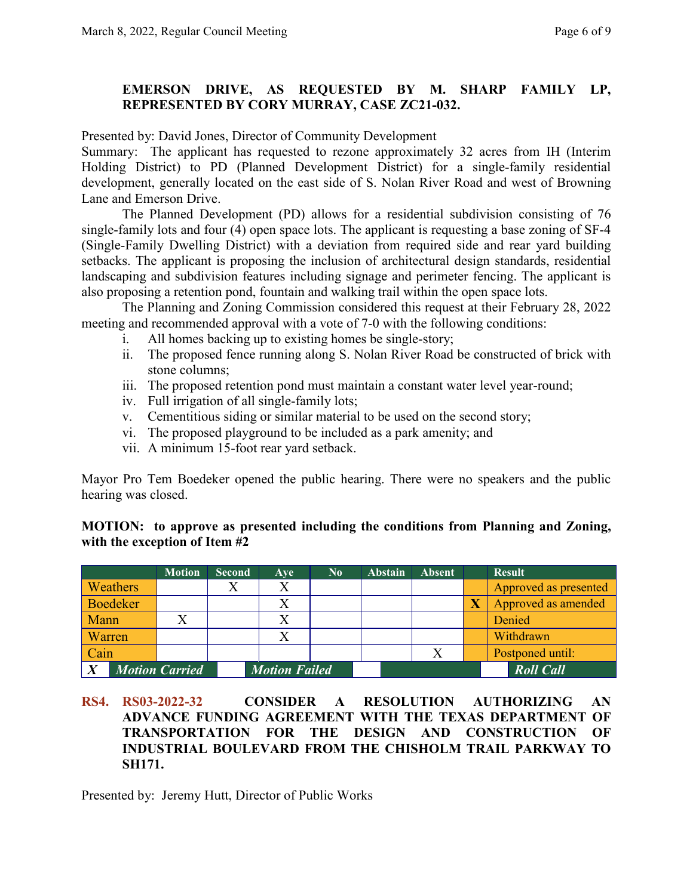## **EMERSON DRIVE, AS REQUESTED BY M. SHARP FAMILY LP, REPRESENTED BY CORY MURRAY, CASE ZC21-032.**

Presented by: David Jones, Director of Community Development

Summary: The applicant has requested to rezone approximately 32 acres from IH (Interim Holding District) to PD (Planned Development District) for a single-family residential development, generally located on the east side of S. Nolan River Road and west of Browning Lane and Emerson Drive.

The Planned Development (PD) allows for a residential subdivision consisting of 76 single-family lots and four (4) open space lots. The applicant is requesting a base zoning of SF-4 (Single-Family Dwelling District) with a deviation from required side and rear yard building setbacks. The applicant is proposing the inclusion of architectural design standards, residential landscaping and subdivision features including signage and perimeter fencing. The applicant is also proposing a retention pond, fountain and walking trail within the open space lots.

The Planning and Zoning Commission considered this request at their February 28, 2022 meeting and recommended approval with a vote of 7-0 with the following conditions:

- i. All homes backing up to existing homes be single-story;
- ii. The proposed fence running along S. Nolan River Road be constructed of brick with stone columns;
- iii. The proposed retention pond must maintain a constant water level year-round;
- iv. Full irrigation of all single-family lots;
- v. Cementitious siding or similar material to be used on the second story;
- vi. The proposed playground to be included as a park amenity; and
- vii. A minimum 15-foot rear yard setback.

Mayor Pro Tem Boedeker opened the public hearing. There were no speakers and the public hearing was closed.

| MOTION: to approve as presented including the conditions from Planning and Zoning, |  |  |  |  |
|------------------------------------------------------------------------------------|--|--|--|--|
| with the exception of Item #2                                                      |  |  |  |  |

|                 |        | <b>Motion</b>         | <b>Second</b> | Ave                  | $\mathbf{N_0}$ | <b>Abstain</b> | <b>Absent</b> | <b>Result</b>         |
|-----------------|--------|-----------------------|---------------|----------------------|----------------|----------------|---------------|-----------------------|
| Weathers        |        |                       |               | Χ                    |                |                |               | Approved as presented |
| <b>Boedeker</b> |        |                       |               | Χ                    |                |                |               | Approved as amended   |
| Mann            |        |                       |               |                      |                |                |               | Denied                |
|                 | Warren |                       |               |                      |                |                |               | Withdrawn             |
| Cain            |        |                       |               |                      |                |                |               | Postponed until:      |
|                 |        | <b>Motion Carried</b> |               | <b>Motion Failed</b> |                |                |               | <b>Roll Call</b>      |

#### **RS4. RS03-2022-32 CONSIDER A RESOLUTION AUTHORIZING AN ADVANCE FUNDING AGREEMENT WITH THE TEXAS DEPARTMENT OF TRANSPORTATION FOR THE DESIGN AND CONSTRUCTION OF INDUSTRIAL BOULEVARD FROM THE CHISHOLM TRAIL PARKWAY TO SH171.**

Presented by: Jeremy Hutt, Director of Public Works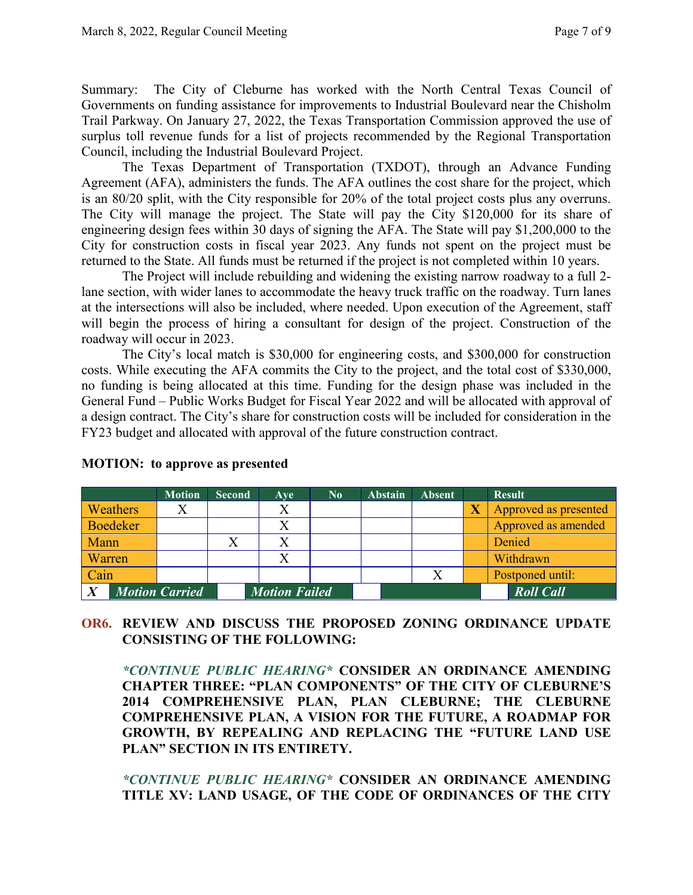Summary: The City of Cleburne has worked with the North Central Texas Council of Governments on funding assistance for improvements to Industrial Boulevard near the Chisholm Trail Parkway. On January 27, 2022, the Texas Transportation Commission approved the use of surplus toll revenue funds for a list of projects recommended by the Regional Transportation Council, including the Industrial Boulevard Project.

The Texas Department of Transportation (TXDOT), through an Advance Funding Agreement (AFA), administers the funds. The AFA outlines the cost share for the project, which is an 80/20 split, with the City responsible for 20% of the total project costs plus any overruns. The City will manage the project. The State will pay the City \$120,000 for its share of engineering design fees within 30 days of signing the AFA. The State will pay \$1,200,000 to the City for construction costs in fiscal year 2023. Any funds not spent on the project must be returned to the State. All funds must be returned if the project is not completed within 10 years.

The Project will include rebuilding and widening the existing narrow roadway to a full 2 lane section, with wider lanes to accommodate the heavy truck traffic on the roadway. Turn lanes at the intersections will also be included, where needed. Upon execution of the Agreement, staff will begin the process of hiring a consultant for design of the project. Construction of the roadway will occur in 2023.

The City's local match is \$30,000 for engineering costs, and \$300,000 for construction costs. While executing the AFA commits the City to the project, and the total cost of \$330,000, no funding is being allocated at this time. Funding for the design phase was included in the General Fund – Public Works Budget for Fiscal Year 2022 and will be allocated with approval of a design contract. The City's share for construction costs will be included for consideration in the FY23 budget and allocated with approval of the future construction contract.

|                                           |          | <b>Motion</b> | <b>Second</b> | Ave                  | $\bf No$ | <b>Abstain</b> | <b>Absent</b> | <b>Result</b>         |
|-------------------------------------------|----------|---------------|---------------|----------------------|----------|----------------|---------------|-----------------------|
|                                           | Weathers |               |               |                      |          |                |               | Approved as presented |
|                                           | Boedeker |               |               | X                    |          |                |               | Approved as amended   |
| Mann                                      |          |               |               |                      |          |                |               | Denied                |
| Warren                                    |          |               |               | Χ                    |          |                |               | Withdrawn             |
|                                           | Cain     |               |               |                      |          |                |               | Postponed until:      |
| $\boldsymbol{X}$<br><b>Motion Carried</b> |          |               |               | <b>Motion Failed</b> |          |                |               | <b>Roll Call</b>      |

## **MOTION: to approve as presented**

# **OR6. REVIEW AND DISCUSS THE PROPOSED ZONING ORDINANCE UPDATE CONSISTING OF THE FOLLOWING:**

*\*CONTINUE PUBLIC HEARING\** **CONSIDER AN ORDINANCE AMENDING CHAPTER THREE: "PLAN COMPONENTS" OF THE CITY OF CLEBURNE'S 2014 COMPREHENSIVE PLAN, PLAN CLEBURNE; THE CLEBURNE COMPREHENSIVE PLAN, A VISION FOR THE FUTURE, A ROADMAP FOR GROWTH, BY REPEALING AND REPLACING THE "FUTURE LAND USE PLAN" SECTION IN ITS ENTIRETY.**

*\*CONTINUE PUBLIC HEARING\** **CONSIDER AN ORDINANCE AMENDING TITLE XV: LAND USAGE, OF THE CODE OF ORDINANCES OF THE CITY**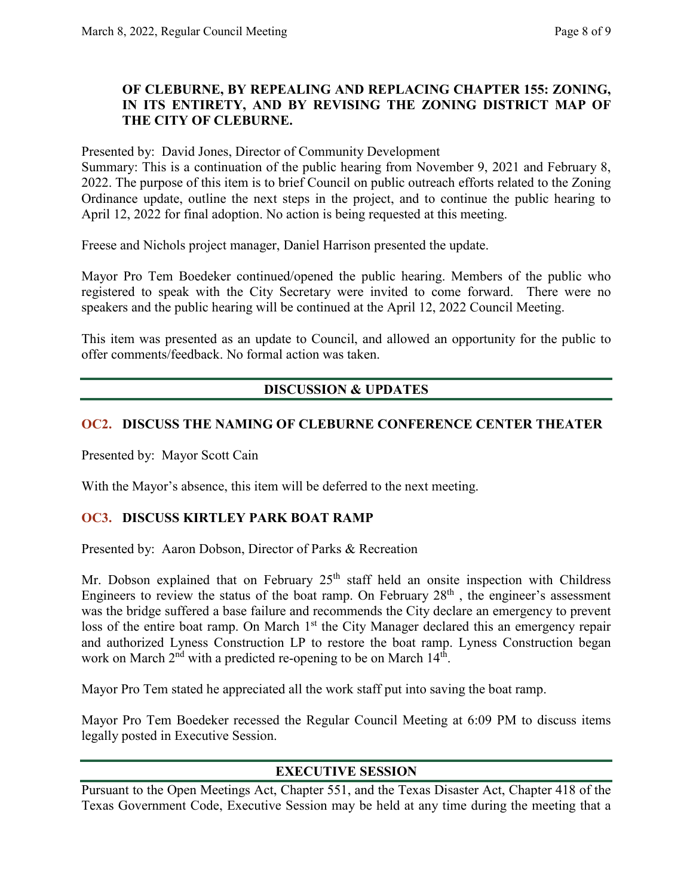## **OF CLEBURNE, BY REPEALING AND REPLACING CHAPTER 155: ZONING, IN ITS ENTIRETY, AND BY REVISING THE ZONING DISTRICT MAP OF THE CITY OF CLEBURNE.**

Presented by: David Jones, Director of Community Development

Summary: This is a continuation of the public hearing from November 9, 2021 and February 8, 2022. The purpose of this item is to brief Council on public outreach efforts related to the Zoning Ordinance update, outline the next steps in the project, and to continue the public hearing to April 12, 2022 for final adoption. No action is being requested at this meeting.

Freese and Nichols project manager, Daniel Harrison presented the update.

Mayor Pro Tem Boedeker continued/opened the public hearing. Members of the public who registered to speak with the City Secretary were invited to come forward. There were no speakers and the public hearing will be continued at the April 12, 2022 Council Meeting.

This item was presented as an update to Council, and allowed an opportunity for the public to offer comments/feedback. No formal action was taken.

# **DISCUSSION & UPDATES**

## **OC2. DISCUSS THE NAMING OF CLEBURNE CONFERENCE CENTER THEATER**

Presented by: Mayor Scott Cain

With the Mayor's absence, this item will be deferred to the next meeting.

#### **OC3. DISCUSS KIRTLEY PARK BOAT RAMP**

Presented by: Aaron Dobson, Director of Parks & Recreation

Mr. Dobson explained that on February  $25<sup>th</sup>$  staff held an onsite inspection with Childress Engineers to review the status of the boat ramp. On February  $28<sup>th</sup>$ , the engineer's assessment was the bridge suffered a base failure and recommends the City declare an emergency to prevent loss of the entire boat ramp. On March 1<sup>st</sup> the City Manager declared this an emergency repair and authorized Lyness Construction LP to restore the boat ramp. Lyness Construction began work on March 2<sup>nd</sup> with a predicted re-opening to be on March 14<sup>th</sup>.

Mayor Pro Tem stated he appreciated all the work staff put into saving the boat ramp.

Mayor Pro Tem Boedeker recessed the Regular Council Meeting at 6:09 PM to discuss items legally posted in Executive Session.

## **EXECUTIVE SESSION**

Pursuant to the Open Meetings Act, Chapter 551, and the Texas Disaster Act, Chapter 418 of the Texas Government Code, Executive Session may be held at any time during the meeting that a